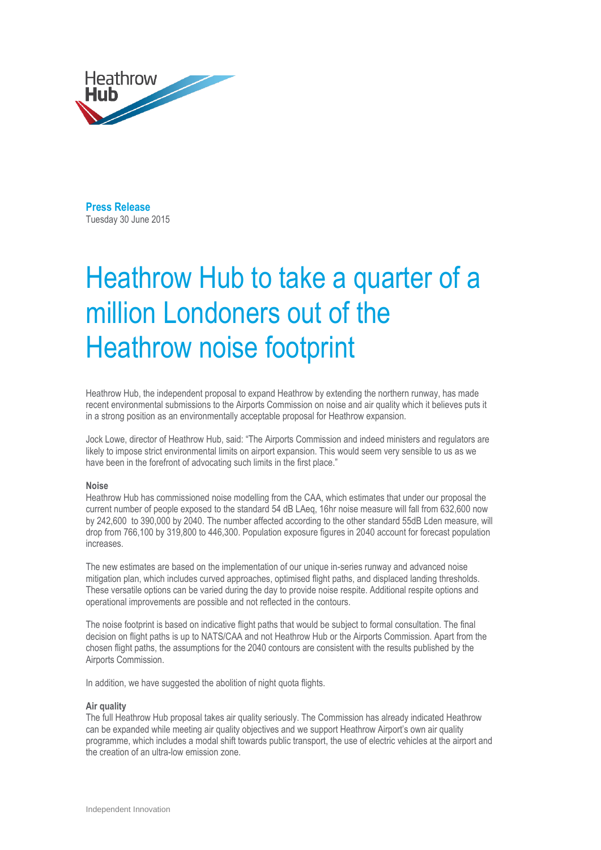

**Press Release**  Tuesday 30 June 2015

# Heathrow Hub to take a quarter of a million Londoners out of the Heathrow noise footprint

Heathrow Hub, the independent proposal to expand Heathrow by extending the northern runway, has made recent environmental submissions to the Airports Commission on noise and air quality which it believes puts it in a strong position as an environmentally acceptable proposal for Heathrow expansion.

Jock Lowe, director of Heathrow Hub, said: "The Airports Commission and indeed ministers and regulators are likely to impose strict environmental limits on airport expansion. This would seem very sensible to us as we have been in the forefront of advocating such limits in the first place."

### **Noise**

Heathrow Hub has commissioned noise modelling from the CAA, which estimates that under our proposal the current number of people exposed to the standard 54 dB LAeq, 16hr noise measure will fall from 632,600 now by 242,600 to 390,000 by 2040. The number affected according to the other standard 55dB Lden measure, will drop from 766,100 by 319,800 to 446,300. Population exposure figures in 2040 account for forecast population increases.

The new estimates are based on the implementation of our unique in-series runway and advanced noise mitigation plan, which includes curved approaches, optimised flight paths, and displaced landing thresholds. These versatile options can be varied during the day to provide noise respite. Additional respite options and operational improvements are possible and not reflected in the contours.

The noise footprint is based on indicative flight paths that would be subject to formal consultation. The final decision on flight paths is up to NATS/CAA and not Heathrow Hub or the Airports Commission. Apart from the chosen flight paths, the assumptions for the 2040 contours are consistent with the results published by the Airports Commission.

In addition, we have suggested the abolition of night quota flights.

#### **Air quality**

The full Heathrow Hub proposal takes air quality seriously. The Commission has already indicated Heathrow can be expanded while meeting air quality objectives and we support Heathrow Airport's own air quality programme, which includes a modal shift towards public transport, the use of electric vehicles at the airport and the creation of an ultra-low emission zone.